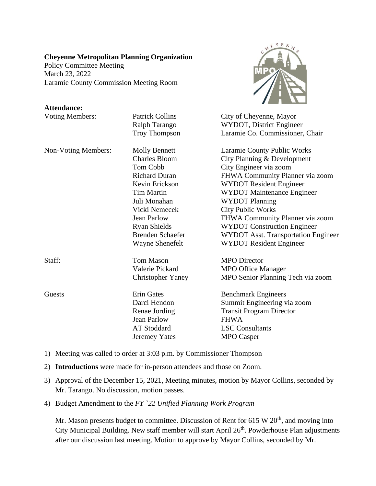## **Cheyenne Metropolitan Planning Organization**

Policy Committee Meeting March 23, 2022 Laramie County Commission Meeting Room

## **Attendance:**

| <b>Voting Members:</b> | <b>Patrick Collins</b>   | City of Cheyenne, Mayor             |
|------------------------|--------------------------|-------------------------------------|
|                        | Ralph Tarango            | WYDOT, District Engineer            |
|                        | Troy Thompson            | Laramie Co. Commissioner, Chair     |
| Non-Voting Members:    | <b>Molly Bennett</b>     | Laramie County Public Works         |
|                        | <b>Charles Bloom</b>     | City Planning & Development         |
|                        | Tom Cobb                 | City Engineer via zoom              |
|                        | <b>Richard Duran</b>     | FHWA Community Planner via zoom     |
|                        | Kevin Erickson           | <b>WYDOT Resident Engineer</b>      |
|                        | <b>Tim Martin</b>        | <b>WYDOT Maintenance Engineer</b>   |
|                        | Juli Monahan             | <b>WYDOT Planning</b>               |
|                        | Vicki Nemecek            | <b>City Public Works</b>            |
|                        | <b>Jean Parlow</b>       | FHWA Community Planner via zoom     |
|                        | <b>Ryan Shields</b>      | <b>WYDOT Construction Engineer</b>  |
|                        | <b>Brenden Schaefer</b>  | WYDOT Asst. Transportation Engineer |
|                        | <b>Wayne Shenefelt</b>   | <b>WYDOT Resident Engineer</b>      |
| Staff:                 | <b>Tom Mason</b>         | <b>MPO</b> Director                 |
|                        | Valerie Pickard          | <b>MPO Office Manager</b>           |
|                        | <b>Christopher Yaney</b> | MPO Senior Planning Tech via zoom   |
| Guests                 | <b>Erin Gates</b>        | <b>Benchmark Engineers</b>          |
|                        | Darci Hendon             | Summit Engineering via zoom         |
|                        | Renae Jording            | <b>Transit Program Director</b>     |
|                        | <b>Jean Parlow</b>       | <b>FHWA</b>                         |
|                        | <b>AT Stoddard</b>       | <b>LSC</b> Consultants              |
|                        | Jeremey Yates            | <b>MPO</b> Casper                   |

 $Y E N$ 

1) Meeting was called to order at 3:03 p.m. by Commissioner Thompson

- 2) **Introductions** were made for in-person attendees and those on Zoom.
- 3) Approval of the December 15, 2021, Meeting minutes, motion by Mayor Collins, seconded by Mr. Tarango. No discussion, motion passes.
- 4) Budget Amendment to the *FY `22 Unified Planning Work Program*

Mr. Mason presents budget to committee. Discussion of Rent for  $615 \text{ W } 20^{\text{th}}$ , and moving into City Municipal Building. New staff member will start April 26<sup>th</sup>. Powderhouse Plan adjustments after our discussion last meeting. Motion to approve by Mayor Collins, seconded by Mr.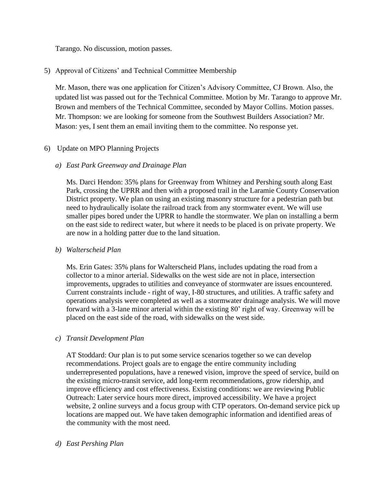Tarango. No discussion, motion passes.

# 5) Approval of Citizens' and Technical Committee Membership

Mr. Mason, there was one application for Citizen's Advisory Committee, CJ Brown. Also, the updated list was passed out for the Technical Committee. Motion by Mr. Tarango to approve Mr. Brown and members of the Technical Committee, seconded by Mayor Collins. Motion passes. Mr. Thompson: we are looking for someone from the Southwest Builders Association? Mr. Mason: yes, I sent them an email inviting them to the committee. No response yet.

## 6) Update on MPO Planning Projects

## *a) East Park Greenway and Drainage Plan*

Ms. Darci Hendon: 35% plans for Greenway from Whitney and Pershing south along East Park, crossing the UPRR and then with a proposed trail in the Laramie County Conservation District property. We plan on using an existing masonry structure for a pedestrian path but need to hydraulically isolate the railroad track from any stormwater event. We will use smaller pipes bored under the UPRR to handle the stormwater. We plan on installing a berm on the east side to redirect water, but where it needs to be placed is on private property. We are now in a holding patter due to the land situation.

## *b) Walterscheid Plan*

Ms. Erin Gates: 35% plans for Walterscheid Plans, includes updating the road from a collector to a minor arterial. Sidewalks on the west side are not in place, intersection improvements, upgrades to utilities and conveyance of stormwater are issues encountered. Current constraints include - right of way, I-80 structures, and utilities. A traffic safety and operations analysis were completed as well as a stormwater drainage analysis. We will move forward with a 3-lane minor arterial within the existing 80' right of way. Greenway will be placed on the east side of the road, with sidewalks on the west side.

## *c) Transit Development Plan*

AT Stoddard: Our plan is to put some service scenarios together so we can develop recommendations. Project goals are to engage the entire community including underrepresented populations, have a renewed vision, improve the speed of service, build on the existing micro-transit service, add long-term recommendations, grow ridership, and improve efficiency and cost effectiveness. Existing conditions: we are reviewing Public Outreach: Later service hours more direct, improved accessibility. We have a project website, 2 online surveys and a focus group with CTP operators. On-demand service pick up locations are mapped out. We have taken demographic information and identified areas of the community with the most need.

## *d) East Pershing Plan*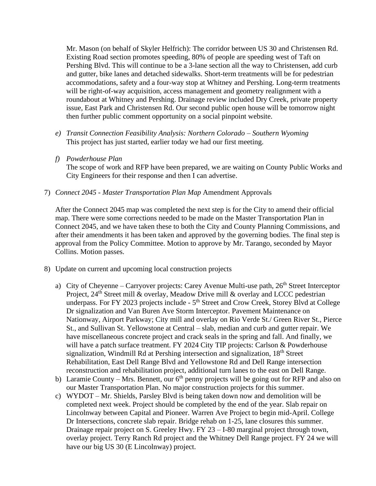Mr. Mason (on behalf of Skyler Helfrich): The corridor between US 30 and Christensen Rd. Existing Road section promotes speeding, 80% of people are speeding west of Taft on Pershing Blvd. This will continue to be a 3-lane section all the way to Christensen, add curb and gutter, bike lanes and detached sidewalks. Short-term treatments will be for pedestrian accommodations, safety and a four-way stop at Whitney and Pershing. Long-term treatments will be right-of-way acquisition, access management and geometry realignment with a roundabout at Whitney and Pershing. Drainage review included Dry Creek, private property issue, East Park and Christensen Rd. Our second public open house will be tomorrow night then further public comment opportunity on a social pinpoint website.

- *e) Transit Connection Feasibility Analysis: Northern Colorado – Southern Wyoming* This project has just started, earlier today we had our first meeting.
- *f) Powderhouse Plan*

The scope of work and RFP have been prepared, we are waiting on County Public Works and City Engineers for their response and then I can advertise.

7) *Connect 2045 - Master Transportation Plan Map* Amendment Approvals

After the Connect 2045 map was completed the next step is for the City to amend their official map. There were some corrections needed to be made on the Master Transportation Plan in Connect 2045, and we have taken these to both the City and County Planning Commissions, and after their amendments it has been taken and approved by the governing bodies. The final step is approval from the Policy Committee. Motion to approve by Mr. Tarango, seconded by Mayor Collins. Motion passes.

- 8) Update on current and upcoming local construction projects
	- a) City of Cheyenne Carryover projects: Carey Avenue Multi-use path,  $26<sup>th</sup>$  Street Interceptor Project, 24<sup>th</sup> Street mill & overlay, Meadow Drive mill & overlay and LCCC pedestrian underpass. For FY 2023 projects include - 5<sup>th</sup> Street and Crow Creek, Storey Blvd at College Dr signalization and Van Buren Ave Storm Interceptor. Pavement Maintenance on Nationway, Airport Parkway; City mill and overlay on Rio Verde St./ Green River St., Pierce St., and Sullivan St. Yellowstone at Central – slab, median and curb and gutter repair. We have miscellaneous concrete project and crack seals in the spring and fall. And finally, we will have a patch surface treatment. FY 2024 City TIP projects: Carlson & Powderhouse signalization, Windmill Rd at Pershing intersection and signalization, 18<sup>th</sup> Street Rehabilitation, East Dell Range Blvd and Yellowstone Rd and Dell Range intersection reconstruction and rehabilitation project, additional turn lanes to the east on Dell Range.
	- b) Laramie County Mrs. Bennett, our  $6<sup>th</sup>$  penny projects will be going out for RFP and also on our Master Transportation Plan. No major construction projects for this summer.
	- c) WYDOT Mr. Shields, Parsley Blvd is being taken down now and demolition will be completed next week. Project should be completed by the end of the year. Slab repair on Lincolnway between Capital and Pioneer. Warren Ave Project to begin mid-April. College Dr Intersections, concrete slab repair. Bridge rehab on 1-25, lane closures this summer. Drainage repair project on S. Greeley Hwy. FY 23 – I-80 marginal project through town, overlay project. Terry Ranch Rd project and the Whitney Dell Range project. FY 24 we will have our big US 30 (E Lincolnway) project.